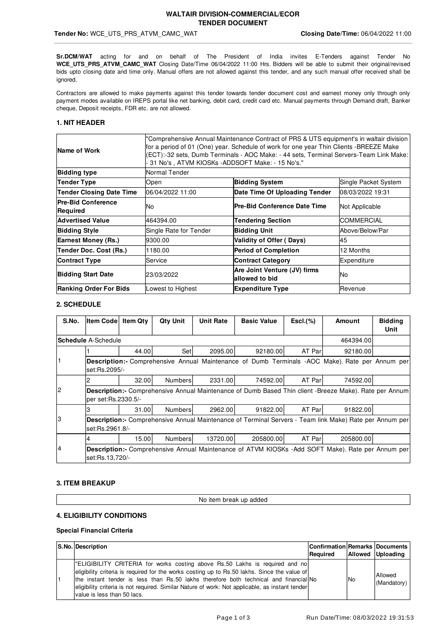### **WALTAIR DIVISION-COMMERCIAL/ECOR TENDER DOCUMENT**

### **Tender No:** WCE\_UTS\_PRS\_ATVM\_CAMC\_WAT **Closing Date/Time:** 06/04/2022 11:00

**Sr.DCM/WAT** acting for and on behalf of The President of India invites E-Tenders against Tender No **WCE\_UTS\_PRS\_ATVM\_CAMC\_WAT** Closing Date/Time 06/04/2022 11:00 Hrs. Bidders will be able to submit their original/revised bids upto closing date and time only. Manual offers are not allowed against this tender, and any such manual offer received shall be ignored.

Contractors are allowed to make payments against this tender towards tender document cost and earnest money only through only payment modes available on IREPS portal like net banking, debit card, credit card etc. Manual payments through Demand draft, Banker cheque, Deposit receipts, FDR etc. are not allowed.

### **1. NIT HEADER**

| Name of Work                                 | "Comprehensive Annual Maintenance Contract of PRS & UTS equipment's in waltair division<br>for a period of 01 (One) year. Schedule of work for one year Thin Clients -BREEZE Make<br>(ECT):-32 sets, Dumb Terminals - AOC Make: - 44 sets, Terminal Servers-Team Link Make:<br>- 31 No's , ATVM KIOSKs -ADDSOFT Make: - 15 No's." |                                                |                   |  |  |  |
|----------------------------------------------|-----------------------------------------------------------------------------------------------------------------------------------------------------------------------------------------------------------------------------------------------------------------------------------------------------------------------------------|------------------------------------------------|-------------------|--|--|--|
| <b>Bidding type</b>                          | Normal Tender                                                                                                                                                                                                                                                                                                                     |                                                |                   |  |  |  |
| <b>Tender Type</b>                           | Open                                                                                                                                                                                                                                                                                                                              | Single Packet System                           |                   |  |  |  |
| <b>Tender Closing Date Time</b>              | 06/04/2022 11:00                                                                                                                                                                                                                                                                                                                  | Date Time Of Uploading Tender                  | 08/03/2022 19:31  |  |  |  |
| <b>Pre-Bid Conference</b><br><b>Required</b> | No                                                                                                                                                                                                                                                                                                                                | lPre-Bid Conference Date Time                  | Not Applicable    |  |  |  |
| <b>Advertised Value</b>                      | 464394.00                                                                                                                                                                                                                                                                                                                         | <b>Tendering Section</b>                       | <b>COMMERCIAL</b> |  |  |  |
| <b>Bidding Style</b>                         | Single Rate for Tender                                                                                                                                                                                                                                                                                                            | <b>Bidding Unit</b>                            | Above/Below/Par   |  |  |  |
| <b>Earnest Money (Rs.)</b>                   | 9300.00                                                                                                                                                                                                                                                                                                                           | <b>Validity of Offer (Days)</b>                | 45                |  |  |  |
| Tender Doc. Cost (Rs.)                       | 1180.00                                                                                                                                                                                                                                                                                                                           | <b>Period of Completion</b>                    | 12 Months         |  |  |  |
| <b>Contract Type</b>                         | Service                                                                                                                                                                                                                                                                                                                           | <b>Contract Category</b>                       | Expenditure       |  |  |  |
| <b>Bidding Start Date</b>                    | 23/03/2022                                                                                                                                                                                                                                                                                                                        | Are Joint Venture (JV) firms<br>allowed to bid | No                |  |  |  |
| <b>Ranking Order For Bids</b>                | Lowest to Highest                                                                                                                                                                                                                                                                                                                 | <b>Expenditure Type</b>                        | Revenue           |  |  |  |

### **2. SCHEDULE**

| S.No.          | <b>Item Code Item Qtv</b>                                                                                                            |       | <b>Qty Unit</b> | <b>Unit Rate</b> | <b>Basic Value</b> | $\mathsf{Escl.}(\%)$ | Amount                                                                                         | <b>Bidding</b><br>Unit |  |
|----------------|--------------------------------------------------------------------------------------------------------------------------------------|-------|-----------------|------------------|--------------------|----------------------|------------------------------------------------------------------------------------------------|------------------------|--|
|                | <b>lSchedule</b> A-Schedule                                                                                                          |       |                 |                  |                    |                      | 464394.00                                                                                      |                        |  |
|                |                                                                                                                                      | 44.00 | Setl            | 2095.00          | 92180.00           | AT Parl              | 92180.00                                                                                       |                        |  |
|                | set:Rs.2095/-                                                                                                                        |       |                 |                  |                    |                      | Description: Comprehensive Annual Maintenance of Dumb Terminals -AOC Make). Rate per Annum per |                        |  |
|                |                                                                                                                                      | 32.00 | Numbers         | 2331.00          | 74592.00           | AT Parl              | 74592.00                                                                                       |                        |  |
| $\overline{c}$ | <b>Description:-</b> Comprehensive Annual Maintenance of Dumb Based Thin client -Breeze Make). Rate per Annum<br>per set:Rs.2330.5/- |       |                 |                  |                    |                      |                                                                                                |                        |  |
|                |                                                                                                                                      | 31.00 | <b>Numbers</b>  | 2962.00          | 91822.00           | AT Parl              | 91822.00                                                                                       |                        |  |
| 3              | <b>Description:</b> Comprehensive Annual Maintenance of Terminal Servers - Team link Make) Rate per Annum per<br>set:Rs.2961.8/-     |       |                 |                  |                    |                      |                                                                                                |                        |  |
|                |                                                                                                                                      | 15.00 | <b>Numbers</b>  | 13720.00         | 205800.00          | AT Parl              | 205800.00                                                                                      |                        |  |
| 14             | <b>Description:-</b> Comprehensive Annual Maintenance of ATVM KIOSKs - Add SOFT Make). Rate per Annum per<br>set:Rs.13,720/-         |       |                 |                  |                    |                      |                                                                                                |                        |  |

### **3. ITEM BREAKUP**

No item break up added

### **4. ELIGIBILITY CONDITIONS**

### **Special Financial Criteria**

| S.No. Description                                                                                                                                                                                                                                                                                                                                                                                    | <b>Confirmation Remarks Documents</b><br>Required |     | Allowed Uploading      |
|------------------------------------------------------------------------------------------------------------------------------------------------------------------------------------------------------------------------------------------------------------------------------------------------------------------------------------------------------------------------------------------------------|---------------------------------------------------|-----|------------------------|
| "ELIGIBILITY CRITERIA for works costing above Rs.50 Lakhs is required and no<br>eligibility criteria is required for the works costing up to Rs.50 lakhs. Since the value of<br>the instant tender is less than Rs.50 lakhs therefore both technical and financial<br>eligibility criteria is not required. Similar Nature of work: Not applicable, as instant tender<br>value is less than 50 lacs. |                                                   | 'No | Allowed<br>(Mandatory) |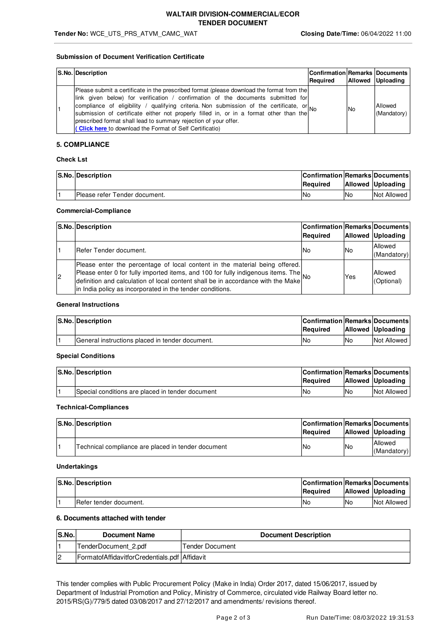#### **Submission of Document Verification Certificate**

| S.No. Description                                                                                                                                                                                                                                                                                                                                                                                                                                                                                           | <b>Confirmation Remarks Documents</b><br>Required |      | Allowed Uploading      |
|-------------------------------------------------------------------------------------------------------------------------------------------------------------------------------------------------------------------------------------------------------------------------------------------------------------------------------------------------------------------------------------------------------------------------------------------------------------------------------------------------------------|---------------------------------------------------|------|------------------------|
| [Please submit a certificate in the prescribed format (please download the format from the<br>link given below) for verification / confirmation of the documents submitted for<br>compliance of eligibility / qualifying criteria. Non submission of the certificate, or No<br>submission of certificate either not properly filled in, or in a format other than the<br>prescribed format shall lead to summary rejection of your offer.<br><b>Click here to download the Format of Self Certificatio)</b> |                                                   | l No | Allowed<br>(Mandatory) |

### **5. COMPLIANCE**

### **Check Lst**

| S.No. Description             | Confirmation Remarks Documents<br><b>Required</b> |     | <b>Allowed Uploading</b> |
|-------------------------------|---------------------------------------------------|-----|--------------------------|
| Please refer Tender document. | 'No                                               | lNo | Not Allowed              |

#### **Commercial-Compliance**

|    | S.No. Description                                                                                                                                                                                                                                                                                                | Confirmation Remarks Documents<br>Required |     | <b>Allowed Uploading</b> |
|----|------------------------------------------------------------------------------------------------------------------------------------------------------------------------------------------------------------------------------------------------------------------------------------------------------------------|--------------------------------------------|-----|--------------------------|
|    | <b>I</b> Refer Tender document.                                                                                                                                                                                                                                                                                  | lNo                                        | INo | Allowed<br>(Mandatory)   |
| 12 | Please enter the percentage of local content in the material being offered.<br>Please enter 0 for fully imported items, and 100 for fully indigenous items. The<br>definition and calculation of local content shall be in accordance with the Make<br>in India policy as incorporated in the tender conditions. |                                            | Yes | Allowed<br>(Optional)    |

#### **General Instructions**

| S.No. Description                               | <b>Confirmation Remarks Documents</b><br>Reauired |     | Allowed Uploading |
|-------------------------------------------------|---------------------------------------------------|-----|-------------------|
| General instructions placed in tender document. | <b>No</b>                                         | 'No | Not Allowed I     |

### **Special Conditions**

|  | <b>S.No. Description</b>                         | <b>Confirmation Remarks Documents</b> |     |                   |
|--|--------------------------------------------------|---------------------------------------|-----|-------------------|
|  |                                                  | <b>Required</b>                       |     | Allowed Uploading |
|  | Special conditions are placed in tender document | 'No                                   | lNo | Not Allowed       |

#### **Technical-Compliances**

| S.No. Description                                  | <b>Confirmation Remarks Documents</b><br><b>Required</b> |           | Allowed Uploading      |
|----------------------------------------------------|----------------------------------------------------------|-----------|------------------------|
| Technical compliance are placed in tender document | lNo                                                      | <b>No</b> | Allowed<br>(Mandatory) |

#### **Undertakings**

| <b>S.No. Description</b>       | <b>Confirmation Remarks Documents</b> |     |                          |
|--------------------------------|---------------------------------------|-----|--------------------------|
|                                | Reauired                              |     | <b>Allowed Uploading</b> |
| <b>IRefer tender document.</b> | 'No                                   | lNo | Not Allowed              |

### **6. Documents attached with tender**

| <b>IS.No.</b>  | <b>Document Name</b>                          | <b>Document Description</b> |
|----------------|-----------------------------------------------|-----------------------------|
|                | TenderDocument 2.pdf                          | Tender Document             |
| $\overline{c}$ | FormatofAffidavitforCredentials.pdf Affidavit |                             |

This tender complies with Public Procurement Policy (Make in India) Order 2017, dated 15/06/2017, issued by Department of Industrial Promotion and Policy, Ministry of Commerce, circulated vide Railway Board letter no. 2015/RS(G)/779/5 dated 03/08/2017 and 27/12/2017 and amendments/ revisions thereof.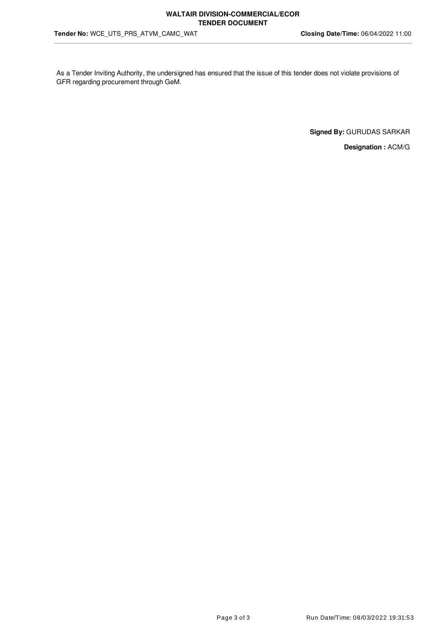As a Tender Inviting Authority, the undersigned has ensured that the issue of this tender does not violate provisions of GFR regarding procurement through GeM.

**Signed By:** GURUDAS SARKAR

**Designation :** ACM/G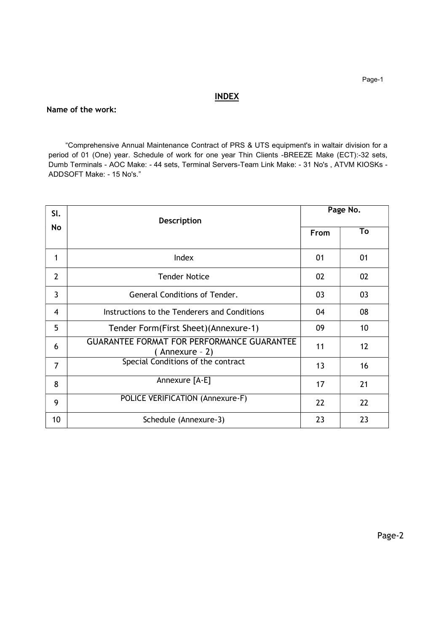# **INDEX**

### Name of the work:

 "Comprehensive Annual Maintenance Contract of PRS & UTS equipment's in waltair division for a period of 01 (One) year. Schedule of work for one year Thin Clients -BREEZE Make (ECT):-32 sets, Dumb Terminals - AOC Make: - 44 sets, Terminal Servers-Team Link Make: - 31 No's , ATVM KIOSKs - ADDSOFT Make: - 15 No's."

| SI.            | <b>Description</b>                                                  | Page No.    |    |  |
|----------------|---------------------------------------------------------------------|-------------|----|--|
| No             |                                                                     | <b>From</b> | To |  |
| 1              | Index                                                               | 01          | 01 |  |
| $\overline{2}$ | <b>Tender Notice</b>                                                | 02          | 02 |  |
| 3              | <b>General Conditions of Tender.</b>                                | 03          | 03 |  |
| 4              | Instructions to the Tenderers and Conditions                        | 04          | 08 |  |
| 5              | Tender Form(First Sheet)(Annexure-1)                                | 09          | 10 |  |
| 6              | <b>GUARANTEE FORMAT FOR PERFORMANCE GUARANTEE</b><br>(Annexure - 2) | 11          | 12 |  |
| 7              | Special Conditions of the contract                                  | 13          | 16 |  |
| 8              | Annexure [A-E]                                                      | 17          | 21 |  |
| 9              | POLICE VERIFICATION (Annexure-F)                                    | 22          | 22 |  |
| 10             | Schedule (Annexure-3)                                               | 23          | 23 |  |

Page-2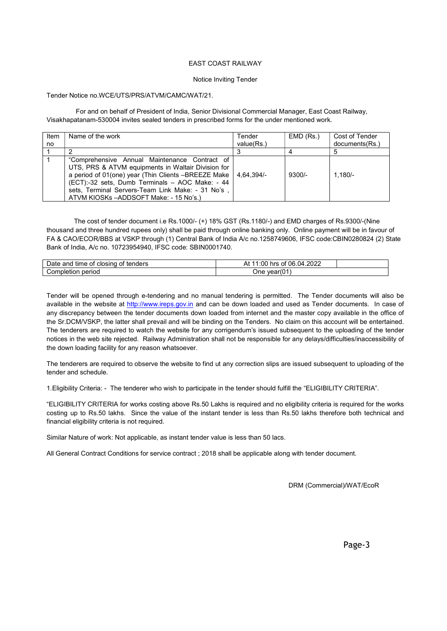### EAST COAST RAILWAY

#### Notice Inviting Tender

### Tender Notice no.WCE/UTS/PRS/ATVM/CAMC/WAT/21.

 For and on behalf of President of India, Senior Divisional Commercial Manager, East Coast Railway, Visakhapatanam-530004 invites sealed tenders in prescribed forms for the under mentioned work.

| Item<br>no | Name of the work                                                                                                                                                                                                                                                                                            | Tender<br>value(Rs.) | EMD (Rs.) | Cost of Tender<br>documents (Rs.) |
|------------|-------------------------------------------------------------------------------------------------------------------------------------------------------------------------------------------------------------------------------------------------------------------------------------------------------------|----------------------|-----------|-----------------------------------|
|            |                                                                                                                                                                                                                                                                                                             |                      |           |                                   |
|            | "Comprehensive Annual Maintenance Contract of<br>UTS, PRS & ATVM equipments in Waltair Division for<br>a period of 01(one) year (Thin Clients -BREEZE Make<br>(ECT):-32 sets, Dumb Terminals - AOC Make: - 44<br>sets, Terminal Servers-Team Link Make: - 31 No's,<br>ATVM KIOSKs-ADDSOFT Make: - 15 No's.) | $4.64.394/-$         | $9300/-$  | $1.180/-$                         |

 The cost of tender document i.e Rs.1000/- (+) 18% GST (Rs.1180/-) and EMD charges of Rs.9300/-(Nine thousand and three hundred rupees only) shall be paid through online banking only. Online payment will be in favour of FA & CAO/ECOR/BBS at VSKP through (1) Central Bank of India A/c no.1258749606, IFSC code:CBIN0280824 (2) State Bank of India, A/c no. 10723954940, IFSC code: SBIN0001740.

| closing                   | 4.2022       |
|---------------------------|--------------|
| tenders                   | 06.0         |
| Jate                      | :00          |
| e and                     | 04           |
| time                      | hrs          |
| ot.                       | οt           |
| Οt                        | יר           |
| Jor<br>period<br>nbietion | Jne<br>vear' |

Tender will be opened through e-tendering and no manual tendering is permitted. The Tender documents will also be available in the website at http://www.ireps.gov.in and can be down loaded and used as Tender documents. In case of any discrepancy between the tender documents down loaded from internet and the master copy available in the office of the Sr.DCM/VSKP, the latter shall prevail and will be binding on the Tenders. No claim on this account will be entertained. The tenderers are required to watch the website for any corrigendum's issued subsequent to the uploading of the tender notices in the web site rejected. Railway Administration shall not be responsible for any delays/difficulties/inaccessibility of the down loading facility for any reason whatsoever.

The tenderers are required to observe the website to find ut any correction slips are issued subsequent to uploading of the tender and schedule.

1.Eligibility Criteria: - The tenderer who wish to participate in the tender should fulfill the "ELIGIBILITY CRITERIA".

"ELIGIBILITY CRITERIA for works costing above Rs.50 Lakhs is required and no eligibility criteria is required for the works costing up to Rs.50 lakhs. Since the value of the instant tender is less than Rs.50 lakhs therefore both technical and financial eligibility criteria is not required.

Similar Nature of work: Not applicable, as instant tender value is less than 50 lacs.

All General Contract Conditions for service contract ; 2018 shall be applicable along with tender document.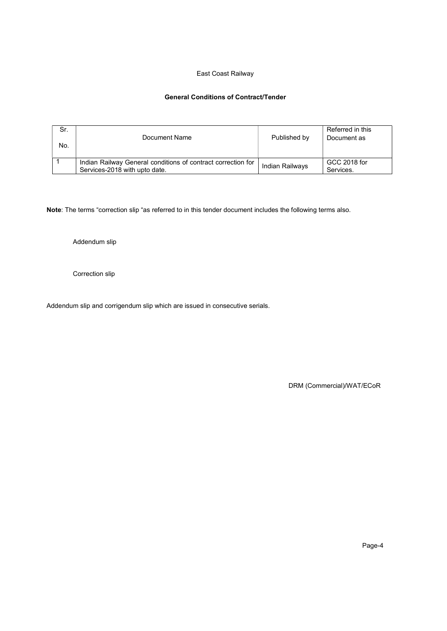### East Coast Railway

### General Conditions of Contract/Tender

| Sr.<br>No. | Document Name                                                                                 | Published by    | Referred in this<br>Document as |
|------------|-----------------------------------------------------------------------------------------------|-----------------|---------------------------------|
|            | Indian Railway General conditions of contract correction for<br>Services-2018 with upto date. | Indian Railways | GCC 2018 for<br>Services.       |

Note: The terms "correction slip "as referred to in this tender document includes the following terms also.

Addendum slip

Correction slip

Addendum slip and corrigendum slip which are issued in consecutive serials.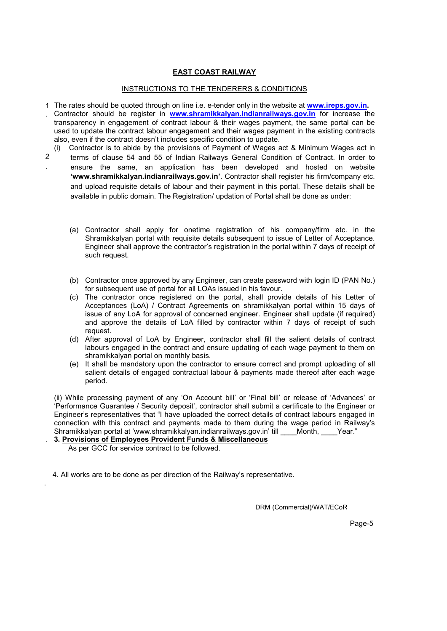### EAST COAST RAILWAY

### INSTRUCTIONS TO THE TENDERERS & CONDITIONS

- 1 The rates should be quoted through on line i.e. e-tender only in the website at **www.ireps.gov.in.**
- . Contractor should be register in www.shramikkalyan.indianrailways.gov.in for increase the transparency in engagement of contract labour & their wages payment, the same portal can be used to update the contract labour engagement and their wages payment in the existing contracts also, even if the contract doesn't includes specific condition to update.
- (i) Contractor is to abide by the provisions of Payment of Wages act & Minimum Wages act in
- $\mathfrak{p}$ . terms of clause 54 and 55 of Indian Railways General Condition of Contract. In order to ensure the same, an application has been developed and hosted on website 'www.shramikkalyan.indianrailways.gov.in'. Contractor shall register his firm/company etc. and upload requisite details of labour and their payment in this portal. These details shall be available in public domain. The Registration/ updation of Portal shall be done as under:
	- (a) Contractor shall apply for onetime registration of his company/firm etc. in the Shramikkalyan portal with requisite details subsequent to issue of Letter of Acceptance. Engineer shall approve the contractor's registration in the portal within 7 days of receipt of such request.
	- (b) Contractor once approved by any Engineer, can create password with login ID (PAN No.) for subsequent use of portal for all LOAs issued in his favour.
	- (c) The contractor once registered on the portal, shall provide details of his Letter of Acceptances (LoA) / Contract Agreements on shramikkalyan portal within 15 days of issue of any LoA for approval of concerned engineer. Engineer shall update (if required) and approve the details of LoA filled by contractor within 7 days of receipt of such request.
	- (d) After approval of LoA by Engineer, contractor shall fill the salient details of contract labours engaged in the contract and ensure updating of each wage payment to them on shramikkalyan portal on monthly basis.
	- (e) It shall be mandatory upon the contractor to ensure correct and prompt uploading of all salient details of engaged contractual labour & payments made thereof after each wage period.

(ii) While processing payment of any 'On Account bill' or 'Final bill' or release of 'Advances' or 'Performance Guarantee / Security deposit', contractor shall submit a certificate to the Engineer or Engineer's representatives that "I have uploaded the correct details of contract labours engaged in connection with this contract and payments made to them during the wage period in Railway's Shramikkalyan portal at 'www.shramikkalyan.indianrailways.gov.in' till \_\_\_\_Month, \_\_\_\_Year."

. 3. Provisions of Employees Provident Funds & Miscellaneous As per GCC for service contract to be followed.

.

4. All works are to be done as per direction of the Railway's representative.

DRM (Commercial)/WAT/ECoR

Page-5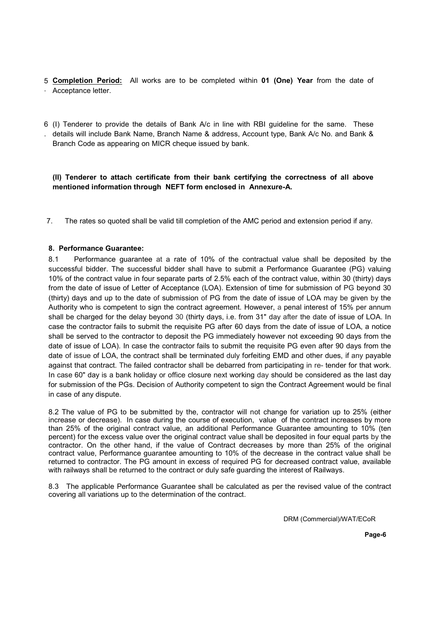- 5 Completion Period: All works are to be completed within 01 (One) Year from the date of . Acceptance letter.
- 6 (I) Tenderer to provide the details of Bank A/c in line with RBI guideline for the same. These . details will include Bank Name, Branch Name & address, Account type, Bank A/c No. and Bank & Branch Code as appearing on MICR cheque issued by bank.

### (II) Tenderer to attach certificate from their bank certifying the correctness of all above mentioned information through NEFT form enclosed in Annexure-A.

7. The rates so quoted shall be valid till completion of the AMC period and extension period if any.

### 8. Performance Guarantee:

8.1 Performance guarantee at a rate of 10% of the contractual value shall be deposited by the successful bidder. The successful bidder shall have to submit a Performance Guarantee (PG) valuing 10% of the contract value in four separate parts of 2.5% each of the contract value, within 30 (thirty) days from the date of issue of Letter of Acceptance (LOA). Extension of time for submission of PG beyond 30 (thirty) days and up to the date of submission of PG from the date of issue of LOA may be given by the Authority who is competent to sign the contract agreement. However, a penal interest of 15% per annum shall be charged for the delay beyond 30 (thirty days, i.e. from 31" day after the date of issue of LOA. In case the contractor fails to submit the requisite PG after 60 days from the date of issue of LOA, a notice shall be served to the contractor to deposit the PG immediately however not exceeding 90 days from the date of issue of LOA). In case the contractor fails to submit the requisite PG even after 90 days from the date of issue of LOA, the contract shall be terminated duly forfeiting EMD and other dues, if any payable against that contract. The failed contractor shall be debarred from participating in re- tender for that work. In case 60" day is a bank holiday or office closure next working day should be considered as the last day for submission of the PGs. Decision of Authority competent to sign the Contract Agreement would be final in case of any dispute.

8.2 The value of PG to be submitted by the, contractor will not change for variation up to 25% (either increase or decrease). In case during the course of execution, value of the contract increases by more than 25% of the original contract value, an additional Performance Guarantee amounting to 10% (ten percent) for the excess value over the original contract value shall be deposited in four equal parts by the contractor. On the other hand, if the value of Contract decreases by more than 25% of the original contract value, Performance guarantee amounting to 10% of the decrease in the contract value shall be returned to contractor. The PG amount in excess of required PG for decreased contract value, available with railways shall be returned to the contract or duly safe guarding the interest of Railways.

8.3 The applicable Performance Guarantee shall be calculated as per the revised value of the contract covering all variations up to the determination of the contract.

DRM (Commercial)/WAT/ECoR

e de la construcción de la construcción de la construcción de la construcción de la construcción de la construcción de la construcción de la construcción de la construcción de la construcción de la construcción de la const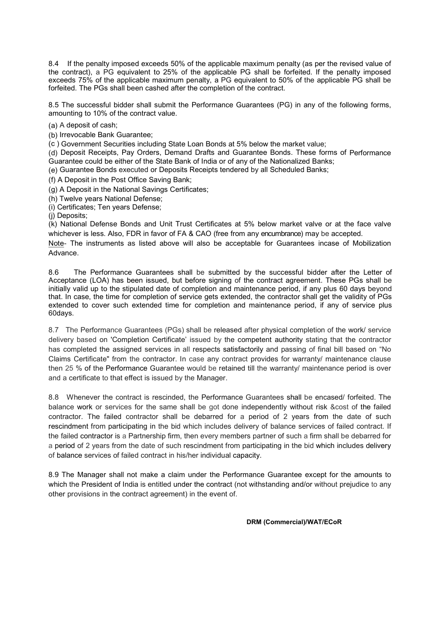8.4 If the penalty imposed exceeds 50% of the applicable maximum penalty (as per the revised value of the contract), a PG equivalent to 25% of the applicable PG shall be forfeited. If the penalty imposed exceeds 75% of the applicable maximum penalty, a PG equivalent to 50% of the applicable PG shall be forfeited. The PGs shall been cashed after the completion of the contract.

8.5 The successful bidder shall submit the Performance Guarantees (PG) in any of the following forms, amounting to 10% of the contract value.

(a) A deposit of cash;

(b) Irrevocable Bank Guarantee;

 $(c)$  Government Securities including State Loan Bonds at 5% below the market value;

(d) Deposit Receipts, Pay Orders, Demand Drafts and Guarantee Bonds. These forms of Performance Guarantee could be either of the State Bank of India or of any of the Nationalized Banks;

(e) Guarantee Bonds executed or Deposits Receipts tendered by all Scheduled Banks;

(f) A Deposit in the Post Office Saving Bank;

(g) A Deposit in the National Savings Certificates;

(h) Twelve years National Defense;

(i) Certificates; Ten years Defense;

(j) Deposits;

(k) National Defense Bonds and Unit Trust Certificates at 5% below market valve or at the face valve whichever is less. Also, FDR in favor of FA & CAO (free from any encumbrance) may be accepted.

Note- The instruments as listed above will also be acceptable for Guarantees incase of Mobilization Advance.

8.6 The Performance Guarantees shall be submitted by the successful bidder after the Letter of Acceptance (LOA) has been issued, but before signing of the contract agreement. These PGs shall be initially valid up to the stipulated date of completion and maintenance period, if any plus 60 days beyond that. In case, the time for completion of service gets extended, the contractor shall get the validity of PGs extended to cover such extended time for completion and maintenance period, if any of service plus 60days.

8.7 The Performance Guarantees (PGs) shall be released after physical completion of the work/ service delivery based on 'Completion Certificate' issued by the competent authority stating that the contractor has completed the assigned services in all respects satisfactorily and passing of final bill based on "No Claims Certificate" from the contractor. In case any contract provides for warranty/ maintenance clause then 25 % of the Performance Guarantee would be retained till the warranty/ maintenance period is over and a certificate to that effect is issued by the Manager.

8.8 Whenever the contract is rescinded, the Performance Guarantees shall be encased/ forfeited. The balance work or services for the same shall be got done independently without risk &cost of the failed contractor. The failed contractor shall be debarred for a period of 2 years from the date of such rescindment from participating in the bid which includes delivery of balance services of failed contract. If the failed contractor is a Partnership firm, then every members partner of such a firm shall be debarred for a period of 2 years from the date of such rescindment from participating in the bid which includes delivery of balance services of failed contract in his/her individual capacity.

8.9 The Manager shall not make a claim under the Performance Guarantee except for the amounts to which the President of India is entitled under the contract (not withstanding and/or without prejudice to any other provisions in the contract agreement) in the event of.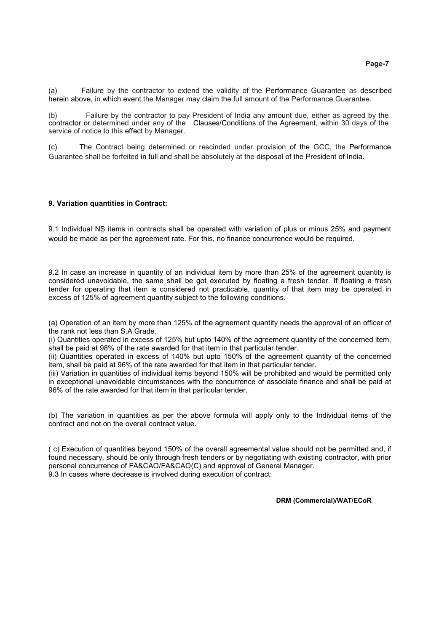(a) Failure by the contractor to extend the validity of the Performance Guarantee as described herein above, in which event the Manager may claim the full amount of the Performance Guarantee.

Failure by the contractor to pay President of India any amount due, either as agreed by the contractor or determined under any of the Clauses/Conditions of the Agreement, within 30 days of the service of notice to this effect by Manager.

(c) The Contract being determined or rescinded under provision of the GCC, the Performance Guarantee shall be forfeited in full and shall be absolutely at the disposal of the President of India.

### 9. Variation quantities in Contract:

9.1 Individual NS items in contracts shall be operated with variation of plus or minus 25% and payment would be made as per the agreement rate. For this, no finance concurrence would be required.

9.2 In case an increase in quantity of an individual item by more than 25% of the agreement quantity is considered unavoidable, the same shall be got executed by floating a fresh tender. If floating a fresh tender for operating that item is considered not practicable, quantity of that item may be operated in excess of 125% of agreement quantity subject to the following conditions.

(a) Operation of an item by more than 125% of the agreement quantity needs the approval of an officer of the rank not less than S.A Grade.

(i) Quantities operated in excess of 125% but upto 140% of the agreement quantity of the concerned item, shall be paid at 98% of the rate awarded for that item in that particular tender.

(ii) Quantities operated in excess of 140% but upto 150% of the agreement quantity of the concerned item, shall be paid at 96% of the rate awarded for that item in that particular tender.

(iii) Variation in quantities of individual items beyond 150% will be prohibited and would be permitted only in exceptional unavoidable circumstances with the concurrence of associate finance and shall be paid at 96% of the rate awarded for that item in that particular tender.

(b) The variation in quantities as per the above formula will apply only to the Individual items of the contract and not on the overall contract value.

( c) Execution of quantities beyond 150% of the overall agreemental value should not be permitted and, if found necessary, should be only through fresh tenders or by negotiating with existing contractor, with prior personal concurrence of FA&CAO/FA&CAO(C) and approval of General Manager. 9.3 In cases where decrease is involved during execution of contract: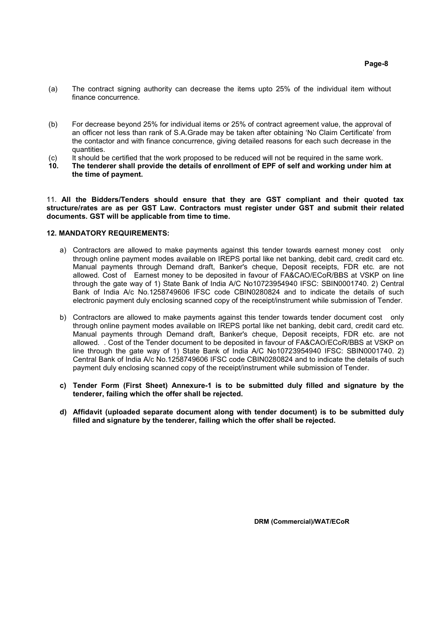- (a) The contract signing authority can decrease the items upto 25% of the individual item without finance concurrence.
- (b) For decrease beyond 25% for individual items or 25% of contract agreement value, the approval of an officer not less than rank of S.A.Grade may be taken after obtaining 'No Claim Certificate' from the contactor and with finance concurrence, giving detailed reasons for each such decrease in the quantities.
- (c) It should be certified that the work proposed to be reduced will not be required in the same work.
- 10. The tenderer shall provide the details of enrollment of EPF of self and working under him at the time of payment.

11. All the Bidders/Tenders should ensure that they are GST compliant and their quoted tax structure/rates are as per GST Law. Contractors must register under GST and submit their related documents. GST will be applicable from time to time.

### 12. MANDATORY REQUIREMENTS:

- a) Contractors are allowed to make payments against this tender towards earnest money cost only through online payment modes available on IREPS portal like net banking, debit card, credit card etc. Manual payments through Demand draft, Banker's cheque, Deposit receipts, FDR etc. are not allowed. Cost of Earnest money to be deposited in favour of FA&CAO/ECoR/BBS at VSKP on line through the gate way of 1) State Bank of India A/C No10723954940 IFSC: SBIN0001740. 2) Central Bank of India A/c No.1258749606 IFSC code CBIN0280824 and to indicate the details of such electronic payment duly enclosing scanned copy of the receipt/instrument while submission of Tender.
- b) Contractors are allowed to make payments against this tender towards tender document cost only through online payment modes available on IREPS portal like net banking, debit card, credit card etc. Manual payments through Demand draft, Banker's cheque, Deposit receipts, FDR etc. are not allowed. . Cost of the Tender document to be deposited in favour of FA&CAO/ECoR/BBS at VSKP on line through the gate way of 1) State Bank of India A/C No10723954940 IFSC: SBIN0001740. 2) Central Bank of India A/c No.1258749606 IFSC code CBIN0280824 and to indicate the details of such payment duly enclosing scanned copy of the receipt/instrument while submission of Tender.
- c) Tender Form (First Sheet) Annexure-1 is to be submitted duly filled and signature by the tenderer, failing which the offer shall be rejected.
- d) Affidavit (uploaded separate document along with tender document) is to be submitted duly filled and signature by the tenderer, failing which the offer shall be rejected.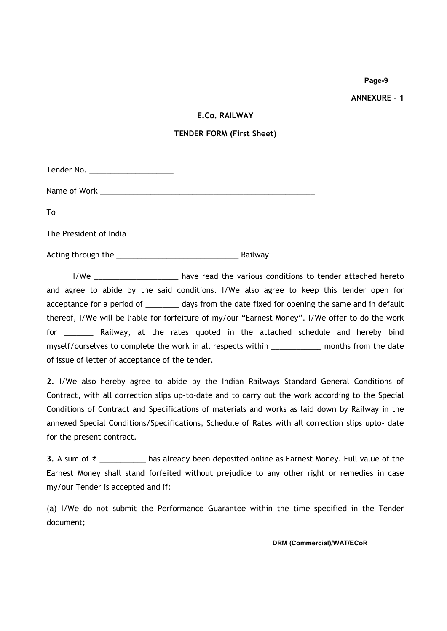ANNEXURE - 1

# E.Co. RAILWAY

### TENDER FORM (First Sheet)

Tender No. \_\_\_\_\_\_\_\_\_\_\_\_\_\_\_\_\_\_\_\_

Name of Work \_\_\_\_\_\_\_\_\_\_\_\_\_\_\_\_\_\_\_\_\_\_\_\_\_\_\_\_\_\_\_\_\_\_\_\_\_\_\_\_\_\_\_\_\_\_\_\_\_\_\_

To

The President of India

Acting through the \_\_\_\_\_\_\_\_\_\_\_\_\_\_\_\_\_\_\_\_\_\_\_\_\_\_\_\_\_ Railway

I/We \_\_\_\_\_\_\_\_\_\_\_\_\_\_\_\_\_\_\_\_ have read the various conditions to tender attached hereto and agree to abide by the said conditions. I/We also agree to keep this tender open for acceptance for a period of \_\_\_\_\_\_\_\_ days from the date fixed for opening the same and in default thereof, I/We will be liable for forfeiture of my/our "Earnest Money". I/We offer to do the work for \_\_\_\_\_\_\_ Railway, at the rates quoted in the attached schedule and hereby bind myself/ourselves to complete the work in all respects within \_\_\_\_\_\_\_\_\_\_\_\_ months from the date of issue of letter of acceptance of the tender.

2. I/We also hereby agree to abide by the Indian Railways Standard General Conditions of Contract, with all correction slips up-to-date and to carry out the work according to the Special Conditions of Contract and Specifications of materials and works as laid down by Railway in the annexed Special Conditions/Specifications, Schedule of Rates with all correction slips upto- date for the present contract.

3. A sum of ₹ \_\_\_\_\_\_\_\_\_\_ has already been deposited online as Earnest Money. Full value of the Earnest Money shall stand forfeited without prejudice to any other right or remedies in case my/our Tender is accepted and if:

(a) I/We do not submit the Performance Guarantee within the time specified in the Tender document;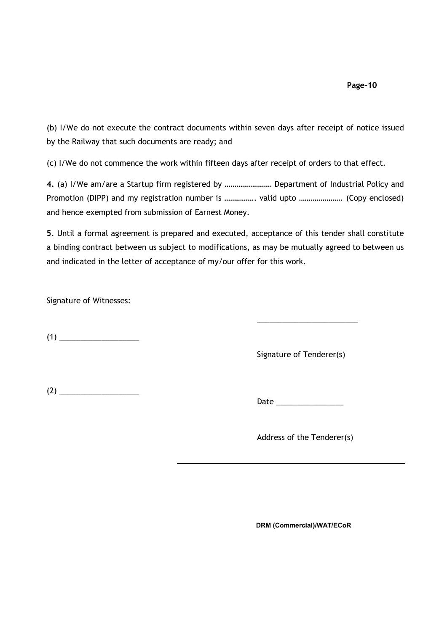(b) I/We do not execute the contract documents within seven days after receipt of notice issued by the Railway that such documents are ready; and

(c) I/We do not commence the work within fifteen days after receipt of orders to that effect.

4. (a) I/We am/are a Startup firm registered by …………………… Department of Industrial Policy and Promotion (DIPP) and my registration number is ................. valid upto ...................... (Copy enclosed) and hence exempted from submission of Earnest Money.

5. Until a formal agreement is prepared and executed, acceptance of this tender shall constitute a binding contract between us subject to modifications, as may be mutually agreed to between us and indicated in the letter of acceptance of my/our offer for this work.

Signature of Witnesses:

(1) \_\_\_\_\_\_\_\_\_\_\_\_\_\_\_\_\_\_\_

Signature of Tenderer(s)

 $\overline{\phantom{a}}$  , and the set of the set of the set of the set of the set of the set of the set of the set of the set of the set of the set of the set of the set of the set of the set of the set of the set of the set of the s

 $(2)$ 

Date  $\Box$ 

Address of the Tenderer(s)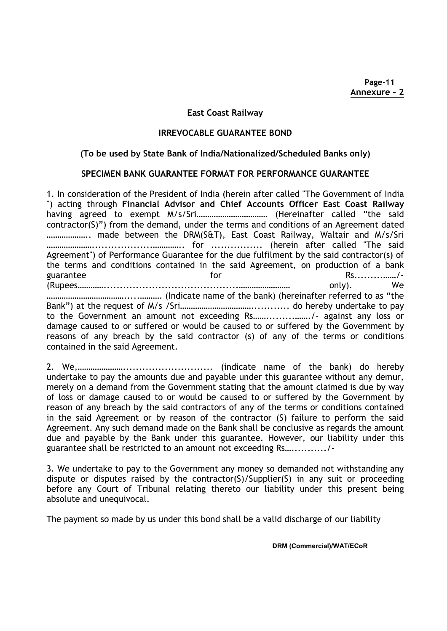Page-11 Annexure – 2

### East Coast Railway

### IRREVOCABLE GUARANTEE BOND

# (To be used by State Bank of India/Nationalized/Scheduled Banks only)

# SPECIMEN BANK GUARANTEE FORMAT FOR PERFORMANCE GUARANTEE

1. In consideration of the President of India (herein after called "The Government of India ") acting through Financial Advisor and Chief Accounts Officer East Coast Railway having agreed to exempt M/s/Sri…………………………… (Hereinafter called "the said contractor(S)") from the demand, under the terms and conditions of an Agreement dated ……………….. made between the DRM(S&T), East Coast Railway, Waltair and M/s/Sri …………………...................………….. for ................ (herein after called "The said Agreement") of Performance Guarantee for the due fulfilment by the said contractor(s) of the terms and conditions contained in the said Agreement, on production of a bank guarantee for Rs.........……/- (Rupees…………..........................................…………………… only). We ……………………………….....………. (Indicate name of the bank) (hereinafter referred to as "the Bank") at the request of M/s /Sri……………………………............ do hereby undertake to pay to the Government an amount not exceeding Rs…….........……./- against any loss or damage caused to or suffered or would be caused to or suffered by the Government by reasons of any breach by the said contractor (s) of any of the terms or conditions contained in the said Agreement.

2. We,…………………............................ (indicate name of the bank) do hereby undertake to pay the amounts due and payable under this guarantee without any demur, merely on a demand from the Government stating that the amount claimed is due by way of loss or damage caused to or would be caused to or suffered by the Government by reason of any breach by the said contractors of any of the terms or conditions contained in the said Agreement or by reason of the contractor (S) failure to perform the said Agreement. Any such demand made on the Bank shall be conclusive as regards the amount due and payable by the Bank under this guarantee. However, our liability under this guarantee shall be restricted to an amount not exceeding Rs….........../-

3. We undertake to pay to the Government any money so demanded not withstanding any dispute or disputes raised by the contractor(S)/Supplier(S) in any suit or proceeding before any Court of Tribunal relating thereto our liability under this present being absolute and unequivocal.

The payment so made by us under this bond shall be a valid discharge of our liability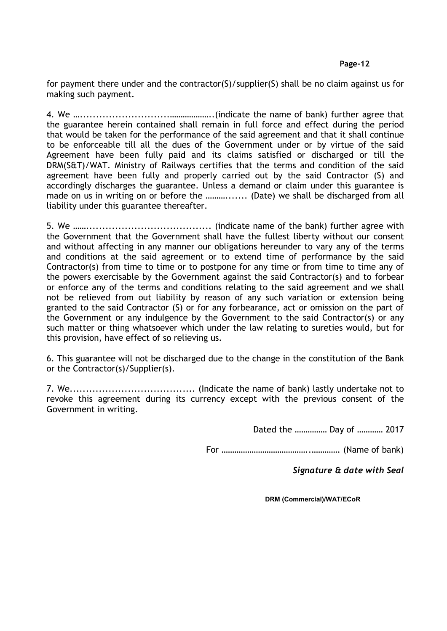for payment there under and the contractor(S)/supplier(S) shall be no claim against us for making such payment.

4. We …............................………………..(indicate the name of bank) further agree that the guarantee herein contained shall remain in full force and effect during the period that would be taken for the performance of the said agreement and that it shall continue to be enforceable till all the dues of the Government under or by virtue of the said Agreement have been fully paid and its claims satisfied or discharged or till the DRM(S&T)/WAT. Ministry of Railways certifies that the terms and condition of the said agreement have been fully and properly carried out by the said Contractor (S) and accordingly discharges the guarantee. Unless a demand or claim under this guarantee is made on us in writing on or before the ………....... (Date) we shall be discharged from all liability under this guarantee thereafter.

5. We ……....................................... (indicate name of the bank) further agree with the Government that the Government shall have the fullest liberty without our consent and without affecting in any manner our obligations hereunder to vary any of the terms and conditions at the said agreement or to extend time of performance by the said Contractor(s) from time to time or to postpone for any time or from time to time any of the powers exercisable by the Government against the said Contractor(s) and to forbear or enforce any of the terms and conditions relating to the said agreement and we shall not be relieved from out liability by reason of any such variation or extension being granted to the said Contractor (S) or for any forbearance, act or omission on the part of the Government or any indulgence by the Government to the said Contractor(s) or any such matter or thing whatsoever which under the law relating to sureties would, but for this provision, have effect of so relieving us.

6. This guarantee will not be discharged due to the change in the constitution of the Bank or the Contractor(s)/Supplier(s).

7. We....................................... (Indicate the name of bank) lastly undertake not to revoke this agreement during its currency except with the previous consent of the Government in writing.

Dated the …………… Day of ………… 2017

For …………………………………..…………. (Name of bank)

Signature & date with Seal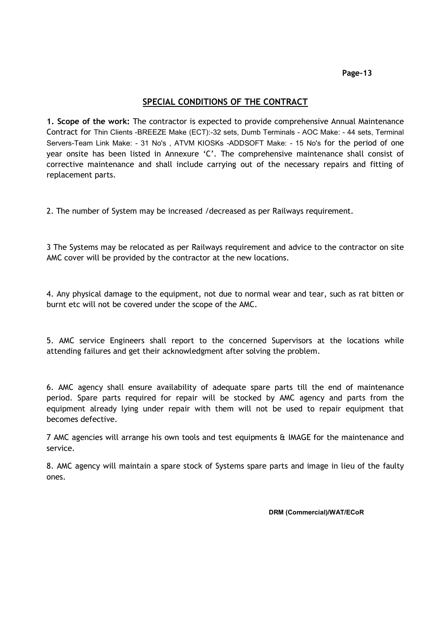# SPECIAL CONDITIONS OF THE CONTRACT

1. Scope of the work: The contractor is expected to provide comprehensive Annual Maintenance Contract for Thin Clients -BREEZE Make (ECT):-32 sets, Dumb Terminals - AOC Make: - 44 sets, Terminal Servers-Team Link Make: - 31 No's , ATVM KIOSKs -ADDSOFT Make: - 15 No's for the period of one year onsite has been listed in Annexure 'C'. The comprehensive maintenance shall consist of corrective maintenance and shall include carrying out of the necessary repairs and fitting of replacement parts.

2. The number of System may be increased /decreased as per Railways requirement.

3 The Systems may be relocated as per Railways requirement and advice to the contractor on site AMC cover will be provided by the contractor at the new locations.

4. Any physical damage to the equipment, not due to normal wear and tear, such as rat bitten or burnt etc will not be covered under the scope of the AMC.

5. AMC service Engineers shall report to the concerned Supervisors at the locations while attending failures and get their acknowledgment after solving the problem.

6. AMC agency shall ensure availability of adequate spare parts till the end of maintenance period. Spare parts required for repair will be stocked by AMC agency and parts from the equipment already lying under repair with them will not be used to repair equipment that becomes defective.

7 AMC agencies will arrange his own tools and test equipments & IMAGE for the maintenance and service.

8. AMC agency will maintain a spare stock of Systems spare parts and image in lieu of the faulty ones.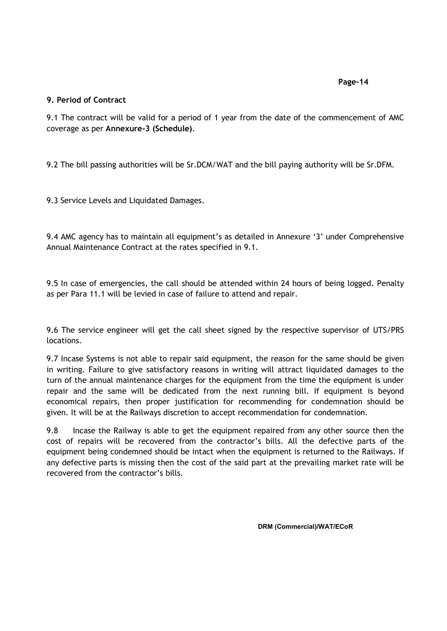# 9. Period of Contract

9.1 The contract will be valid for a period of 1 year from the date of the commencement of AMC coverage as per Annexure-3 (Schedule).

9.2 The bill passing authorities will be Sr.DCM/WAT and the bill paying authority will be Sr.DFM.

9.3 Service Levels and Liquidated Damages.

9.4 AMC agency has to maintain all equipment's as detailed in Annexure '3' under Comprehensive Annual Maintenance Contract at the rates specified in 9.1.

9.5 In case of emergencies, the call should be attended within 24 hours of being logged. Penalty as per Para 11.1 will be levied in case of failure to attend and repair.

9.6 The service engineer will get the call sheet signed by the respective supervisor of UTS/PRS locations.

9.7 Incase Systems is not able to repair said equipment, the reason for the same should be given in writing. Failure to give satisfactory reasons in writing will attract liquidated damages to the turn of the annual maintenance charges for the equipment from the time the equipment is under repair and the same will be dedicated from the next running bill. If equipment is beyond economical repairs, then proper justification for recommending for condemnation should be given. It will be at the Railways discretion to accept recommendation for condemnation.

9.8 Incase the Railway is able to get the equipment repaired from any other source then the cost of repairs will be recovered from the contractor's bills. All the defective parts of the equipment being condemned should be intact when the equipment is returned to the Railways. If any defective parts is missing then the cost of the said part at the prevailing market rate will be recovered from the contractor's bills.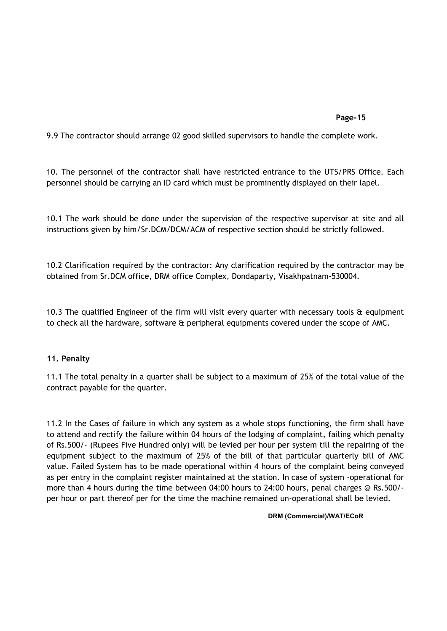9.9 The contractor should arrange 02 good skilled supervisors to handle the complete work.

10. The personnel of the contractor shall have restricted entrance to the UTS/PRS Office. Each personnel should be carrying an ID card which must be prominently displayed on their lapel.

10.1 The work should be done under the supervision of the respective supervisor at site and all instructions given by him/Sr.DCM/DCM/ACM of respective section should be strictly followed.

10.2 Clarification required by the contractor: Any clarification required by the contractor may be obtained from Sr.DCM office, DRM office Complex, Dondaparty, Visakhpatnam-530004.

10.3 The qualified Engineer of the firm will visit every quarter with necessary tools & equipment to check all the hardware, software & peripheral equipments covered under the scope of AMC.

# 11. Penalty

11.1 The total penalty in a quarter shall be subject to a maximum of 25% of the total value of the contract payable for the quarter.

11.2 In the Cases of failure in which any system as a whole stops functioning, the firm shall have to attend and rectify the failure within 04 hours of the lodging of complaint, failing which penalty of Rs.500/- (Rupees Five Hundred only) will be levied per hour per system till the repairing of the equipment subject to the maximum of 25% of the bill of that particular quarterly bill of AMC value. Failed System has to be made operational within 4 hours of the complaint being conveyed as per entry in the complaint register maintained at the station. In case of system -operational for more than 4 hours during the time between 04:00 hours to 24:00 hours, penal charges @ Rs.500/ per hour or part thereof per for the time the machine remained un-operational shall be levied.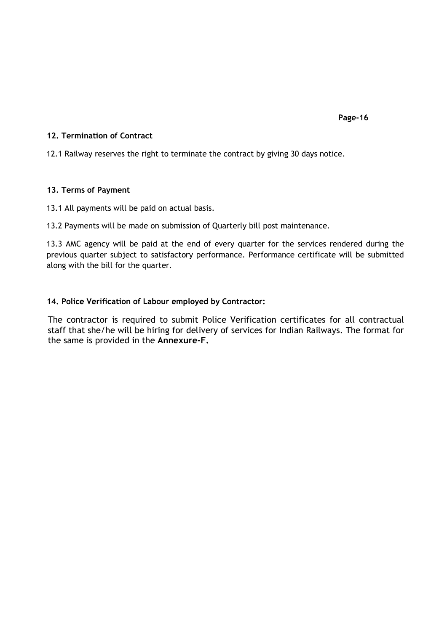# 12. Termination of Contract

12.1 Railway reserves the right to terminate the contract by giving 30 days notice.

# 13. Terms of Payment

13.1 All payments will be paid on actual basis.

13.2 Payments will be made on submission of Quarterly bill post maintenance.

13.3 AMC agency will be paid at the end of every quarter for the services rendered during the previous quarter subject to satisfactory performance. Performance certificate will be submitted along with the bill for the quarter.

# 14. Police Verification of Labour employed by Contractor:

The contractor is required to submit Police Verification certificates for all contractual staff that she/he will be hiring for delivery of services for Indian Railways. The format for the same is provided in the Annexure-F.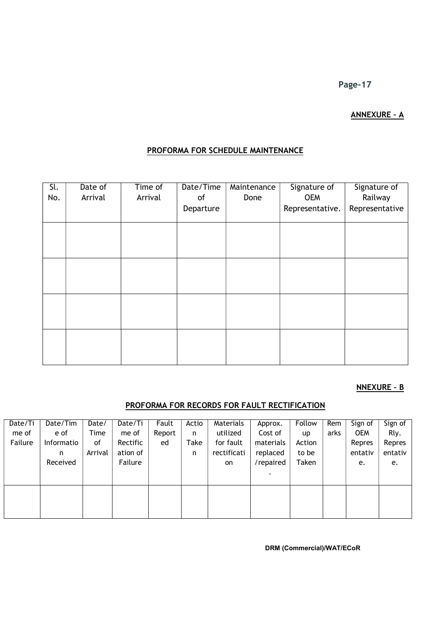# ANNEXURE – A

# PROFORMA FOR SCHEDULE MAINTENANCE

| Sl.<br>No. | Date of<br>Arrival | Time of<br>Arrival | Date/Time<br>of | Maintenance<br>Done | Signature of<br><b>OEM</b> | Signature of<br>Railway |
|------------|--------------------|--------------------|-----------------|---------------------|----------------------------|-------------------------|
|            |                    |                    | Departure       |                     | Representative.            | Representative          |
|            |                    |                    |                 |                     |                            |                         |
|            |                    |                    |                 |                     |                            |                         |
|            |                    |                    |                 |                     |                            |                         |
|            |                    |                    |                 |                     |                            |                         |
|            |                    |                    |                 |                     |                            |                         |
|            |                    |                    |                 |                     |                            |                         |
|            |                    |                    |                 |                     |                            |                         |
|            |                    |                    |                 |                     |                            |                         |

# NNEXURE – B

# PROFORMA FOR RECORDS FOR FAULT RECTIFICATION

| Date/Ti | Date/Tim   | Date/   | Date/Ti  | Fault  | Actio | Materials   | Approx.   | Follow    | Rem  | Sign of    | Sign of |
|---------|------------|---------|----------|--------|-------|-------------|-----------|-----------|------|------------|---------|
| me of   | e of       | Time    | me of    | Report | n     | utilized    | Cost of   | <b>up</b> | arks | <b>OEM</b> | Rly.    |
| Failure | Informatio | οf      | Rectific | ed     | Take  | for fault   | materials | Action    |      | Repres     | Repres  |
|         | n          | Arrival | ation of |        | n     | rectificati | replaced  | to be     |      | entativ    | entativ |
|         | Received   |         | Failure  |        |       | on          | /repaired | Taken     |      | e.         | e.      |
|         |            |         |          |        |       |             |           |           |      |            |         |
|         |            |         |          |        |       |             |           |           |      |            |         |
|         |            |         |          |        |       |             |           |           |      |            |         |
|         |            |         |          |        |       |             |           |           |      |            |         |
|         |            |         |          |        |       |             |           |           |      |            |         |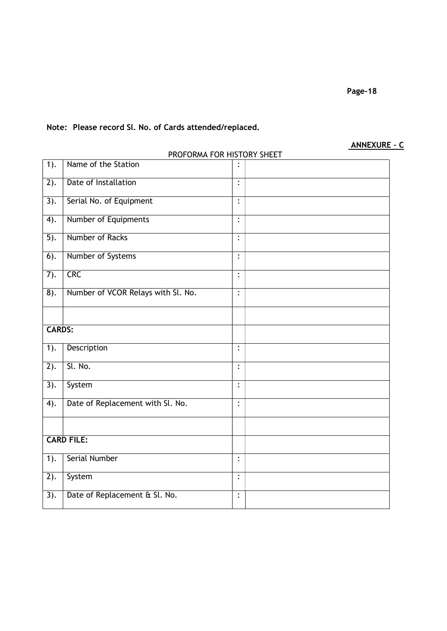# Note: Please record Sl. No. of Cards attended/replaced.

# ANNEXURE – C

|                   | PROFORMA FOR HISTORY SHEET         |                |  |
|-------------------|------------------------------------|----------------|--|
| $\overline{1}$ ). | Name of the Station                |                |  |
| $\overline{2)}$ . | Date of Installation               | $\ddot{\cdot}$ |  |
| $\overline{3)}$ . | Serial No. of Equipment            | $\ddot{\cdot}$ |  |
| $\overline{4}$ .  | Number of Equipments               | $\ddot{\cdot}$ |  |
| $\overline{5}$ ). | Number of Racks                    | $\ddot{\cdot}$ |  |
| $\overline{6}$ ). | Number of Systems                  | $\vdots$       |  |
| 7).               | <b>CRC</b>                         | $\ddot{\cdot}$ |  |
| $\overline{8}$ ). | Number of VCOR Relays with Sl. No. | $\ddot{\cdot}$ |  |
|                   |                                    |                |  |
| <b>CARDS:</b>     |                                    |                |  |
| $\overline{1}$ .  | Description                        | $\ddot{\cdot}$ |  |
| $\overline{2)}$ . | Sl. No.                            | $\vdots$       |  |
| 3).               | System                             | $\ddot{\cdot}$ |  |
| 4).               | Date of Replacement with Sl. No.   | $\ddot{\cdot}$ |  |
|                   |                                    |                |  |
|                   | <b>CARD FILE:</b>                  |                |  |
| $1$ ).            | <b>Serial Number</b>               | $\ddot{\cdot}$ |  |
| $\overline{2}$ ). | System                             | $\ddot{\cdot}$ |  |
| 3).               | Date of Replacement & Sl. No.      | $\ddot{\cdot}$ |  |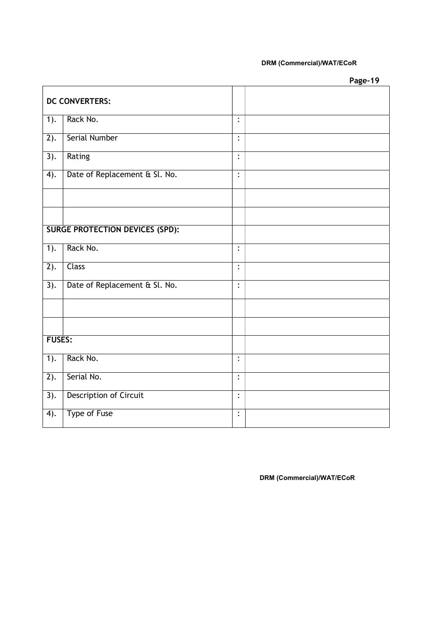# DRM (Commercial)/WAT/ECoR

Page-19

|                   | <b>DC CONVERTERS:</b>                  |                |  |
|-------------------|----------------------------------------|----------------|--|
| 1).               | Rack No.                               | $\ddot{\cdot}$ |  |
| $\overline{2)}$ . | <b>Serial Number</b>                   | $\ddot{\cdot}$ |  |
| $\overline{3)}$ . | Rating                                 | $\ddot{\cdot}$ |  |
| $\overline{4}$ .  | Date of Replacement & Sl. No.          | $\ddot{\cdot}$ |  |
|                   |                                        |                |  |
|                   |                                        |                |  |
|                   | <b>SURGE PROTECTION DEVICES (SPD):</b> |                |  |
| 1).               | Rack No.                               | :              |  |
| 2).               | <b>Class</b>                           | $\ddot{\cdot}$ |  |
| 3).               | Date of Replacement & Sl. No.          | $\ddot{\cdot}$ |  |
|                   |                                        |                |  |
|                   |                                        |                |  |
| <b>FUSES:</b>     |                                        |                |  |
| $\overline{1}$ .  | Rack No.                               | $\ddot{\cdot}$ |  |
| $\overline{2)}$ . | Serial No.                             | $\ddot{\cdot}$ |  |
| $\overline{3)}$ . | <b>Description of Circuit</b>          | $\vdots$       |  |
| $\overline{4}$ .  | Type of Fuse                           | $\ddot{\cdot}$ |  |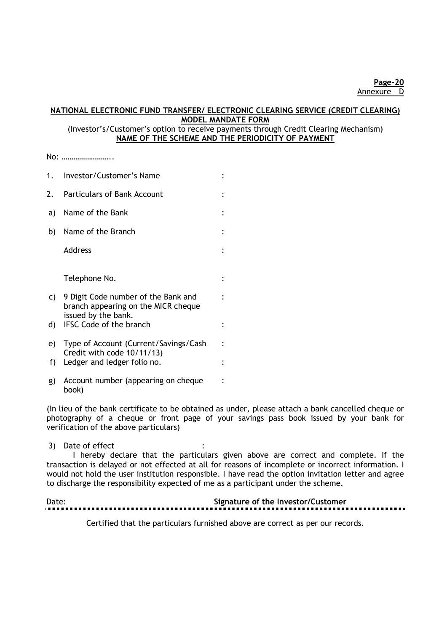# NATIONAL ELECTRONIC FUND TRANSFER/ ELECTRONIC CLEARING SERVICE (CREDIT CLEARING) MODEL MANDATE FORM

# (Investor's/Customer's option to receive payments through Credit Clearing Mechanism) NAME OF THE SCHEME AND THE PERIODICITY OF PAYMENT

No: ……………………..

| 1.  | Investor/Customer's Name                                                                          |  |
|-----|---------------------------------------------------------------------------------------------------|--|
| 2.  | <b>Particulars of Bank Account</b>                                                                |  |
| a)  | Name of the Bank                                                                                  |  |
| b). | Name of the Branch                                                                                |  |
|     | Address                                                                                           |  |
|     | Telephone No.                                                                                     |  |
| C)  | 9 Digit Code number of the Bank and<br>branch appearing on the MICR cheque<br>issued by the bank. |  |
| d)  | <b>IFSC Code of the branch</b>                                                                    |  |
|     | e) Type of Account (Current/Savings/Cash                                                          |  |
| f)  | Credit with code 10/11/13)<br>Ledger and ledger folio no.                                         |  |
| g)  | Account number (appearing on cheque<br>book)                                                      |  |

(In lieu of the bank certificate to be obtained as under, please attach a bank cancelled cheque or photography of a cheque or front page of your savings pass book issued by your bank for verification of the above particulars)

### 3) Date of effect

I hereby declare that the particulars given above are correct and complete. If the transaction is delayed or not effected at all for reasons of incomplete or incorrect information. I would not hold the user institution responsible. I have read the option invitation letter and agree to discharge the responsibility expected of me as a participant under the scheme.

| Date: | Signature of the Investor/Customer |
|-------|------------------------------------|
|       |                                    |

Certified that the particulars furnished above are correct as per our records.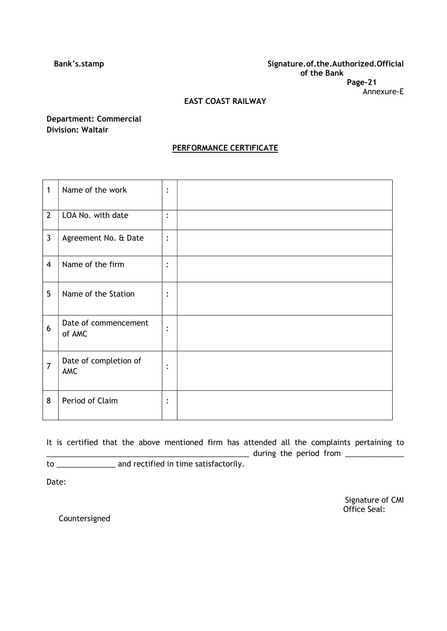### Bank's.stamp Signature.of.the.Authorized.Official of the Bank Page-21 Annexure-E

# EAST COAST RAILWAY

# Department: Commercial Division: Waltair

# PERFORMANCE CERTIFICATE

| $\mathbf{1}$   | Name of the work               | :                      |  |
|----------------|--------------------------------|------------------------|--|
| $\overline{2}$ | LOA No. with date              | :                      |  |
| $\mathbf{3}$   | Agreement No. & Date           | :                      |  |
| $\overline{4}$ | Name of the firm               | :                      |  |
| 5              | Name of the Station            | :                      |  |
| 6              | Date of commencement<br>of AMC | $\bullet$<br>$\bullet$ |  |
| $\overline{7}$ | Date of completion of<br>AMC   | $\bullet$<br>$\bullet$ |  |
| 8              | Period of Claim                | $\bullet$<br>$\bullet$ |  |

It is certified that the above mentioned firm has attended all the complaints pertaining to  $\frac{1}{2}$  during the period from  $\frac{1}{2}$ 

to \_\_\_\_\_\_\_\_\_\_\_\_\_\_ and rectified in time satisfactorily.

Date:

Signature of CMI Office Seal:

Countersigned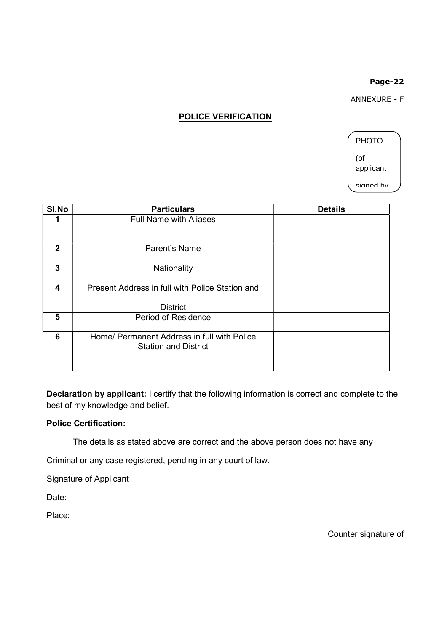ANNEXURE - F

# POLICE VERIFICATION

PHOTO (of applicant signed by

| SI.No        | <b>Particulars</b>                                                         | <b>Details</b> |
|--------------|----------------------------------------------------------------------------|----------------|
|              | <b>Full Name with Aliases</b>                                              |                |
| $\mathbf{2}$ | Parent's Name                                                              |                |
| 3            | Nationality                                                                |                |
| 4            | Present Address in full with Police Station and                            |                |
|              | <b>District</b>                                                            |                |
| 5            | <b>Period of Residence</b>                                                 |                |
| 6            | Home/ Permanent Address in full with Police<br><b>Station and District</b> |                |

Declaration by applicant: I certify that the following information is correct and complete to the best of my knowledge and belief.

# Police Certification:

The details as stated above are correct and the above person does not have any

Criminal or any case registered, pending in any court of law.

Signature of Applicant

Date:

Place:

Counter signature of